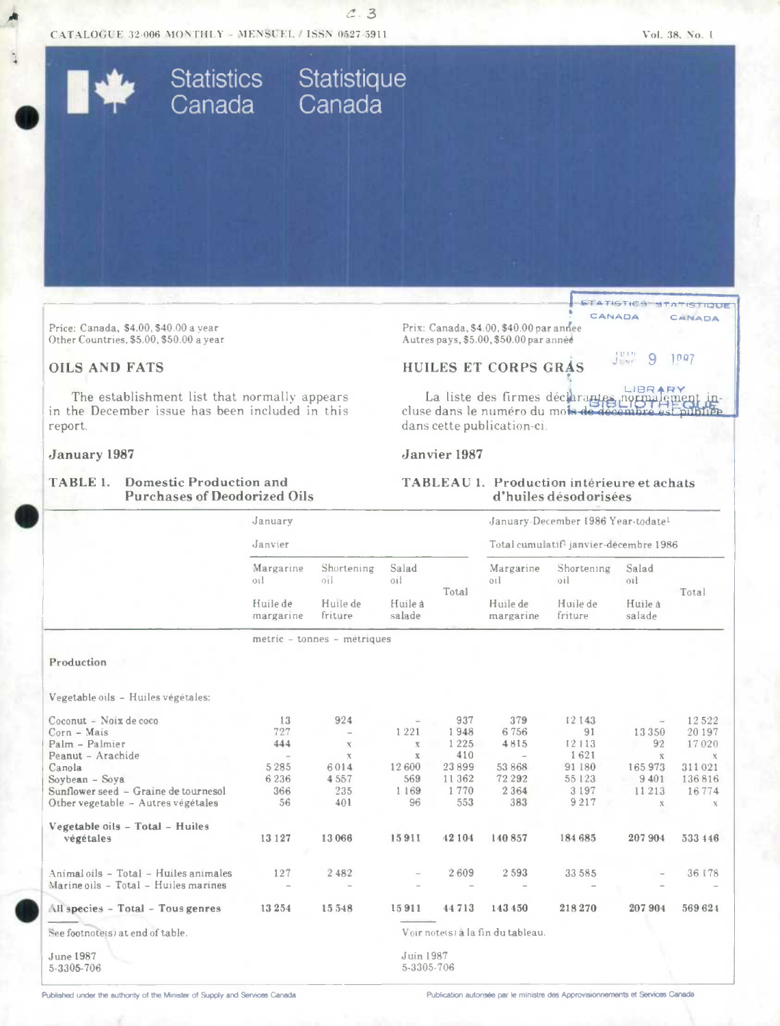CATALOGUE 32-006 MONTHLY - MENSUEL / ISSN 0527-5911

Statistics Statistique<br>Canada Canada

 $C.3$ 

**STATISTICS STATISTIQUE** 

9

CANADA

 $1097$ 

CANADA

 $J_{\rm{out}}^{\rm{PDR}}$ 

Price: Canada, \$4.00, \$40.00 a year Other Countries, \$5.00, \$50.00 a year

# **OILS AND FATS**

The establishment list that normally appears in the December issue has been included in this report.

#### January 1987

### **TABLE 1. Domestic Production and Purchases of Deodorized Oils**

Prix: Canada, \$4.00, \$40.00 par année Autres pays, \$5.00, \$50.00 par année

# HUILES ET CORPS GRAS

La liste des firmes déclarantes normal cluse dans le numéro du mois de d dans cette publication-ci.

#### Janvier 1987

### TABLEAU 1. Production intérieure et achats d'huiles désodorisées

|                                          | January               |                             |                         |        |                                   | January-December 1986 Year-todate1                 |                   |               |  |
|------------------------------------------|-----------------------|-----------------------------|-------------------------|--------|-----------------------------------|----------------------------------------------------|-------------------|---------------|--|
|                                          | Janvier               |                             |                         |        |                                   | Total cumulatif <sup>1</sup> janvier-décembre 1986 |                   |               |  |
|                                          | Margarine<br>0il      | Shortening<br>01            | Salad<br>0i             | Total  | Margarine<br>oil                  | Shortening<br>oil                                  | Salad<br>0i       | Total         |  |
|                                          | Huile de<br>margarine | Huile de<br>friture         | Huile à<br>salade       |        | Huile de<br>margarine             | Huile de<br>friture                                | Huile à<br>salade |               |  |
|                                          |                       | metric - tonnes - metriques |                         |        |                                   |                                                    |                   |               |  |
| Production                               |                       |                             |                         |        |                                   |                                                    |                   |               |  |
|                                          |                       |                             |                         |        |                                   |                                                    |                   |               |  |
| Vegetable oils - Huiles végétales:       |                       |                             |                         |        |                                   |                                                    |                   |               |  |
| Coconut - Noix de coco                   | 13                    | 924                         |                         | 937    | 379                               | 12143                                              |                   | 12522         |  |
| Corn - Mais                              | 727                   |                             | 1221                    | 1948   | 6756                              | 91                                                 | 13350             | 20197         |  |
| Palm - Palmier                           | 444                   | $\chi$                      | $\mathbf x$             | 1225   | 4815                              | 12113                                              | 92                | 17020         |  |
| Peanut - Arachide                        | $\rightarrow$         | $\chi$                      | $\mathbf{X}$            | 410    | $\overline{\phantom{a}}$          | 1621                                               | $\mathbf X$       | $\mathcal{K}$ |  |
| Canola                                   | 5 2 8 5               | 6014                        | 12600                   | 23899  | 53 868                            | 91 180                                             | 165973            | 311021        |  |
| Soybean - Soya                           | 6236                  | 4557                        | 569                     | 11362  | 72 292                            | 55 123                                             | 9401              | 136816        |  |
| Sunflower seed - Graine de tournesol     | 366                   | 235                         | 1 1 6 9                 | 1770   | 2 3 6 4                           | 3 1 9 7                                            | 11213             | 16774         |  |
| Other vegetable - Autres végétales       | 56                    | 401                         | 96                      | 553    | 383                               | 9217                                               | $\mathbf X$       | $\mathbf x$   |  |
| Vegetable oils - Total - Huiles          |                       |                             |                         |        |                                   |                                                    |                   |               |  |
| végétales                                | 13 127                | 13 066                      | 15911                   | 42 104 | 140 857                           | 184 685                                            | 207904            | 533 446       |  |
| Animal oils - Total - Huiles animales    | 127                   | 2482                        |                         | 2609   | 2593                              | 33 58 5                                            |                   | 36 178        |  |
| Marine oils - Total - Huiles marines     | i.                    |                             |                         |        |                                   |                                                    |                   |               |  |
| <b>All species - Total - Tous genres</b> | 13254                 | 15548                       | 15911                   | 44713  | 143 450                           | 218270                                             | 207904            | 569 624       |  |
| See footnote(s) at end of table.         |                       |                             |                         |        | Voir note(s) a la fin du tableau. |                                                    |                   |               |  |
| <b>June 1987</b><br>5-3305-706           |                       |                             | Juin 1987<br>5-3305-706 |        |                                   |                                                    |                   |               |  |

Published under the authority of the Minister of Supply and Services Canada

Publication autorisée par le ministre des Approvisionnements et Services Canada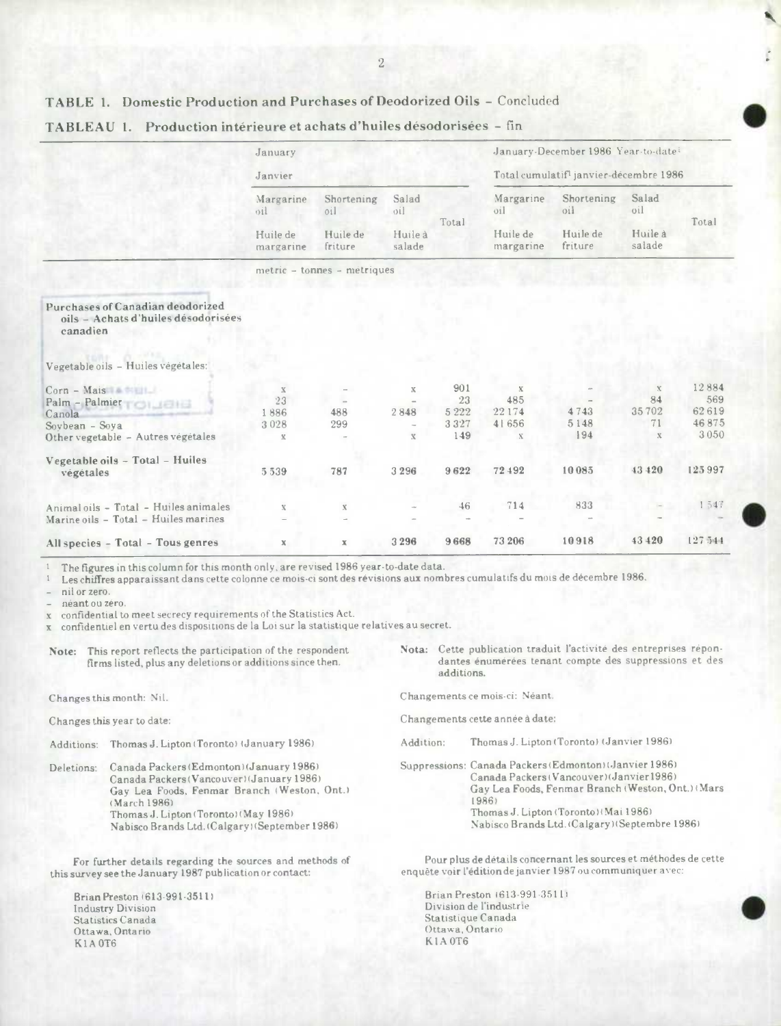# **TABLE** 1. Domestic Production and Purchases of Deodorized Oils - Concluded

|                                                                                                               | January                                                           |                             |                                    |                                     |                                                      | January-December 1986 Year-to-date: |                                                 |                                        |
|---------------------------------------------------------------------------------------------------------------|-------------------------------------------------------------------|-----------------------------|------------------------------------|-------------------------------------|------------------------------------------------------|-------------------------------------|-------------------------------------------------|----------------------------------------|
|                                                                                                               | Janvier                                                           |                             |                                    |                                     | Total cumulatif <sup>1</sup> janvier-décembre 1986   |                                     |                                                 |                                        |
|                                                                                                               | Margarine<br>oil                                                  | Shortening<br>oil           | Salad<br>oil                       |                                     | Margarine<br>oil                                     | Shortening<br>oil                   | Salad<br>oil                                    |                                        |
|                                                                                                               | Huile de<br>Huile de<br>Huile à<br>friture<br>salade<br>margarine |                             |                                    | Total                               | Huile de<br>margarine                                | Huile de<br>friture                 | Huile à<br>salade                               | Total                                  |
|                                                                                                               |                                                                   | metric - tonnes - metriques |                                    |                                     |                                                      |                                     |                                                 |                                        |
| Purchases of Canadian deodorized<br>oils - Achats d'huiles désodorisées<br>canadien                           |                                                                   |                             |                                    |                                     |                                                      |                                     |                                                 |                                        |
| Vegetable oils - Huiles végétales:                                                                            |                                                                   |                             |                                    |                                     |                                                      |                                     |                                                 |                                        |
| $Corn - Mais$<br>Palm - Palmier<br>TOILIEIE<br>Canola<br>Sovbean - Soya<br>Other vegetable - Autres végétales | $\mathbf x$<br>23<br>1886<br>3028<br>$\mathbbm{K}$                | 488<br>299                  | $\mathbf X$<br>2848<br>$\mathbf X$ | 901<br>23<br>5 2 2 2<br>3327<br>149 | $\mathbf x$<br>485<br>22174<br>41656<br>$\mathbf{X}$ | 4743<br>5148<br>194                 | $\mathbf x$<br>84<br>35702<br>71<br>$\mathbf x$ | 12884<br>569<br>62619<br>46875<br>3050 |
| Vegetable oils - Total - Huiles<br>végétales                                                                  | 5539                                                              | 787                         | 3296                               | 9622                                | 72492                                                | 10085                               | 43 420                                          | 125997                                 |
| Animal oils - Total - Huiles animales<br>Marine oils - Total - Huiles marines                                 | $\mathbf x$                                                       | $\mathbf X$                 |                                    | 46                                  | 714                                                  | 833                                 |                                                 | 1547                                   |
| All species - Total - Tous genres                                                                             | $\mathbb X$                                                       | $\mathbb X$                 | 3296                               | 9668                                | 73 206                                               | 10918                               | 43 420                                          | 127.544                                |

TABLEAU 1. Production intérieureetachatsd'huilesdésodorisées - fin **S** 

<sup>I</sup>The figures in this column for this month only, are revised 1986 year-to-date data.

Les chiffres apparaissant dans cette colonne **ce** mois-ci sont des revisions aux nombres cumulatifs du mois de décembre 1986.

nil or zero.

néant ou zéro.

• confidential to meet secrecy requirements of the Statistics Act.

• confidentiel en vertu des dispositions de Ia Lot sur Ia statistique relatives au secret.

firms listed, plus any deletions or additions since then.

Canada Packers (Vancouver) (January 1986)<br>Gay Lea Foods, Fenmar Branch (Weston, Ont.) Nabisco Brands Ltd. (Calgary) (September 1986)

For further details regarding the sources and methods of this survey see the January 1987 publication or contact:

Brian Preston 613-991.3511) Industry Division Statistics Canada Ottawa, Ontario K 1 A 0T6

**Note:** This report reflects the participation of the respondent **Nota:** Cette publication traduit l'activité des entreprises reponadditions.

Changes this month: Nil. Changements ce mois-ci: Néant.

- Changes this year to date: Changements cette année a date:
- Additions: Thomas J. Lipton (Toronto) (January 1986) Addition: Thomas J. Lipton (Toronto) (Janvier 1986)

Deletions: Canada Packers(Edmonton((January 1986) Suppressions: Canada Packers (Edmonton) (Janvier 1986) Gay Lea Foods, Fenmar Branch (Weston, Ont.) (Mars<br>1986) (March 1986)<br>Thomas J. Linton (Toronto) (May 1986) (1986) 1986) (1986) (1986) Thomas J. Lipton (Toronto) (May 1986) Thomas J. Lipton (Toronto) (Mai 1986)<br>Nabisco Brands Ltd. (Calgary) (September 1986) Thomas J. Lipton (Toronto) (Mai 1986)

> Pour plus de details concernant les sources et méthodes de cette enquête voir l'édition de janvier 1987 ou communiquer avec:

Brian Preston (613-991-3511) Division de l'industrie Statistique Canada Ottawa, Ontario K IA 0T6

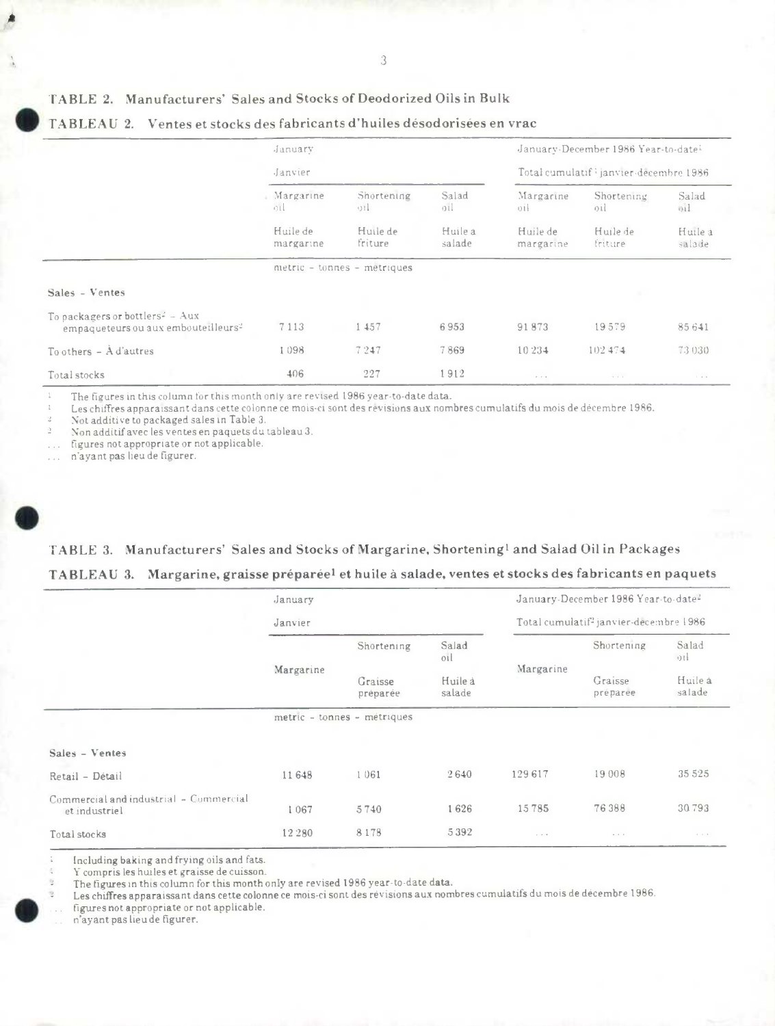3

### TABLE 2. Manufacturers' Sales and Stocks of Deodorized Oils in Bulk

|                                                                                                | January                                                           |                             |              |                                        | January-December 1986 Year-to-date: |                  |  |
|------------------------------------------------------------------------------------------------|-------------------------------------------------------------------|-----------------------------|--------------|----------------------------------------|-------------------------------------|------------------|--|
|                                                                                                | Janvier                                                           |                             |              | Total cumulatif lianvier-decembre 1986 |                                     |                  |  |
|                                                                                                | Margarine<br>$\circ$ ul                                           | Shortening<br>$\alpha$      | Salad<br>oil | Margarine<br>$0$ il                    | Shortening<br>oil                   | Salad<br>mil     |  |
|                                                                                                | Huile de<br>Huile de<br>Huile à<br>friture<br>salade<br>margarine |                             |              | Huile de<br>margarine                  | Huile de<br><i>inture</i>           | Huilea<br>salade |  |
|                                                                                                |                                                                   | metric - tonnes - metriques |              |                                        |                                     |                  |  |
| Sales - Ventes                                                                                 |                                                                   |                             |              |                                        |                                     |                  |  |
| To packagers or bottlers <sup>2</sup> - Aux<br>empaqueteurs ou aux embouteilleurs <sup>2</sup> | 7113                                                              | 1 457                       | 6953         | 91873                                  | 19579                               | 85641            |  |
| To others $-$ A d'autres                                                                       | 1098                                                              | 7247                        | 7869         | 10 234                                 | 102474                              | 73 030           |  |
| Total stocks                                                                                   | 406                                                               | 227                         | l 912.       |                                        |                                     |                  |  |

# TABLEAU 2. Ventes et stocks des fabricants d'huiles désodorisées en vrac

The figures in this column for this month only are revised 1986 year-to-date data.

Les chiffres apparaissant dans cette colonne ce mois-ci sont des révisions aux nombres cumulatifs du mois de décembre 1986.

Not additive to packaged sales in Table 3.

Non additif avec les ventes en paquets du tableau 3.

figures not appropriate or not applicable.

n'ayant pas lieu de figurer.

# TABLE 3. Manufacturers' Sales and Stocks of Margarine, Shortening<sup>1</sup> and Salad Oil in Packages TABLEAU 3. Margarine, graisse préparéel et huile à salade, ventes et stocks des fabricants en paquets

|                                                         | January   |                             |                   |                                                    | January-December 1986 Year-to-date <sup>2</sup> |                   |  |
|---------------------------------------------------------|-----------|-----------------------------|-------------------|----------------------------------------------------|-------------------------------------------------|-------------------|--|
|                                                         | Janvier   |                             |                   | Total cumulatif <sup>2</sup> janvier-decembre 1986 |                                                 |                   |  |
|                                                         |           | Shortening                  | Salad<br>01       |                                                    | Shortening<br>Graisse<br>preparee               | Salad<br>$0$ ii   |  |
|                                                         | Margarine | Graisse<br>préparée         | Huile à<br>salade | Margarine                                          |                                                 | Huile à<br>salade |  |
|                                                         |           | metric - tonnes - metriques |                   |                                                    |                                                 |                   |  |
| Sales - Ventes                                          |           |                             |                   |                                                    |                                                 |                   |  |
| Retail - Détail                                         | 11 648    | 1061                        | 2640              | 129617                                             | 19 008                                          | 35 5 25           |  |
| Commercial and industrial - Commercial<br>et industriel | 1067      | 5740                        | 1626              | 15785                                              | 76388                                           | 30793             |  |
| Total stocks                                            | 12 2 8 0  | 8178                        | 5392              | $\cdots$                                           | $\cdots$                                        | $\sim$ 100 $\pm$  |  |

Including baking and frying oils and fats.

Y compris les huiles et graisse de cuisson.

The figures in this column for this month only are revised 1986 year-to-date data.

Les chiffres apparaissant dans cette colonne ce mois-ci sont des révisions aux nombres cumulatifs du mois de décembre 1986.

figures not appropriate or not applicable.

n'ayant pas lieu de figurer.

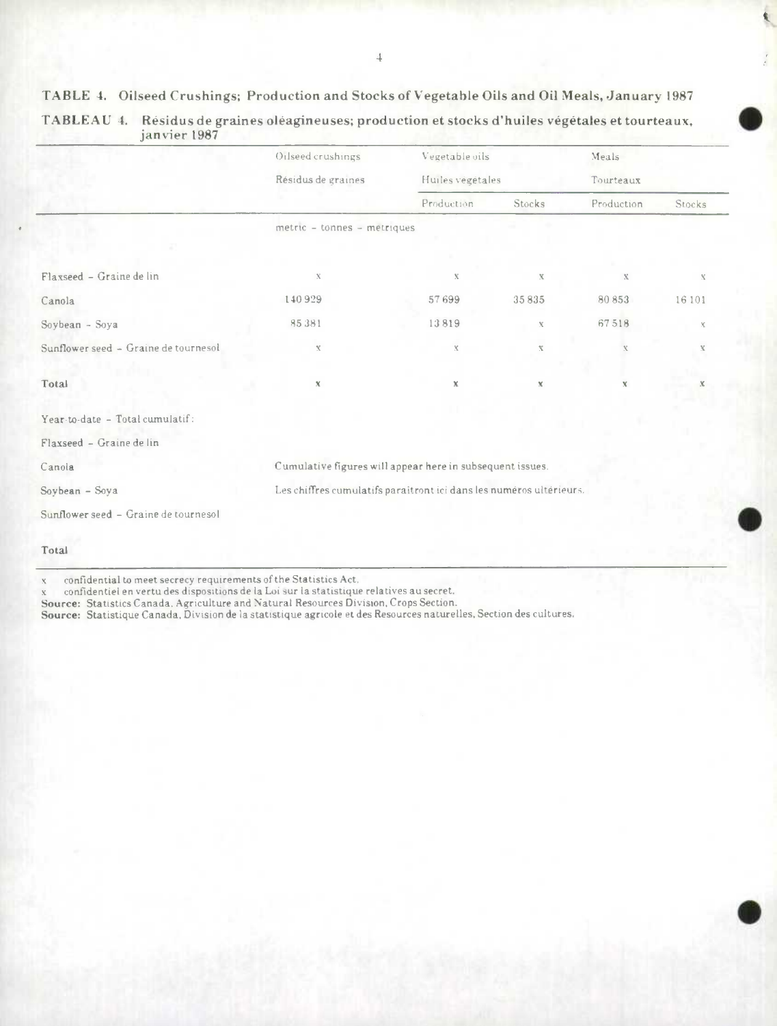TABLE 4. Oilseed Crushings; Production and Stocks of Vegetable Oils and Oil Meals, January 1987

|                                      | Oilseed crushings                                                   | Vegetable oils   |              | Meals        |             |  |  |  |
|--------------------------------------|---------------------------------------------------------------------|------------------|--------------|--------------|-------------|--|--|--|
|                                      | Résidus de graines                                                  | Huiles végétales |              | Tourteaux    |             |  |  |  |
|                                      |                                                                     | Production       | Stocks       | Production   | Stocks      |  |  |  |
|                                      | metric - tonnes - metriques                                         |                  |              |              |             |  |  |  |
|                                      |                                                                     |                  |              |              |             |  |  |  |
| Flaxseed - Graine de lin             | $\mathbf{X}$                                                        | $\mathbf X$      | x            | $\mathbf{X}$ | Х           |  |  |  |
| Canola                               | 140929                                                              | 57699            | 35835        | 80853        | 16 10 1     |  |  |  |
| Soybean - Soya                       | 85381                                                               | 13819            | $\mathbf{X}$ | 67518        | X.          |  |  |  |
| Sunflower seed - Graine de tournesol | $\mathbf X$                                                         | $\mathbf{X}$     | $\mathbf X$  | $\mathbf x$  | $\mathbb X$ |  |  |  |
| Total                                | $\mathbf x$                                                         | $\chi$           | $\mathbb X$  | $\mathbb X$  |             |  |  |  |
| Year-to-date - Total cumulatif:      |                                                                     |                  |              |              |             |  |  |  |
| Flaxseed - Graine de lin             |                                                                     |                  |              |              |             |  |  |  |
| Canola                               | Cumulative figures will appear here in subsequent issues.           |                  |              |              |             |  |  |  |
| Soybean - Soya                       | Les chiffres cumulatifs paraîtront ici dans les numéros ultérieurs. |                  |              |              |             |  |  |  |
| Sunflower seed - Graine de tournesol |                                                                     |                  |              |              |             |  |  |  |
| Total                                |                                                                     |                  |              |              |             |  |  |  |

| TABLEAU 4. Résidus de graines oléagineuses; production et stocks d'huiles végétales et tourteaux, |
|---------------------------------------------------------------------------------------------------|
| janvier 1987                                                                                      |

s confidential to meet secrecy requirements of the Statistics Act,

x confidentiel en vertu des dispositions de Ia Loi sur La statistique relatives au secret. Source: Statistics Canada. Agriculture and Natural Resources Division, Crops Section.

Source: Statistique Canada, Division de La statistique agricole et des Resources naturelles. Section des cultures.

k

 $\bullet$ 

 $\bullet$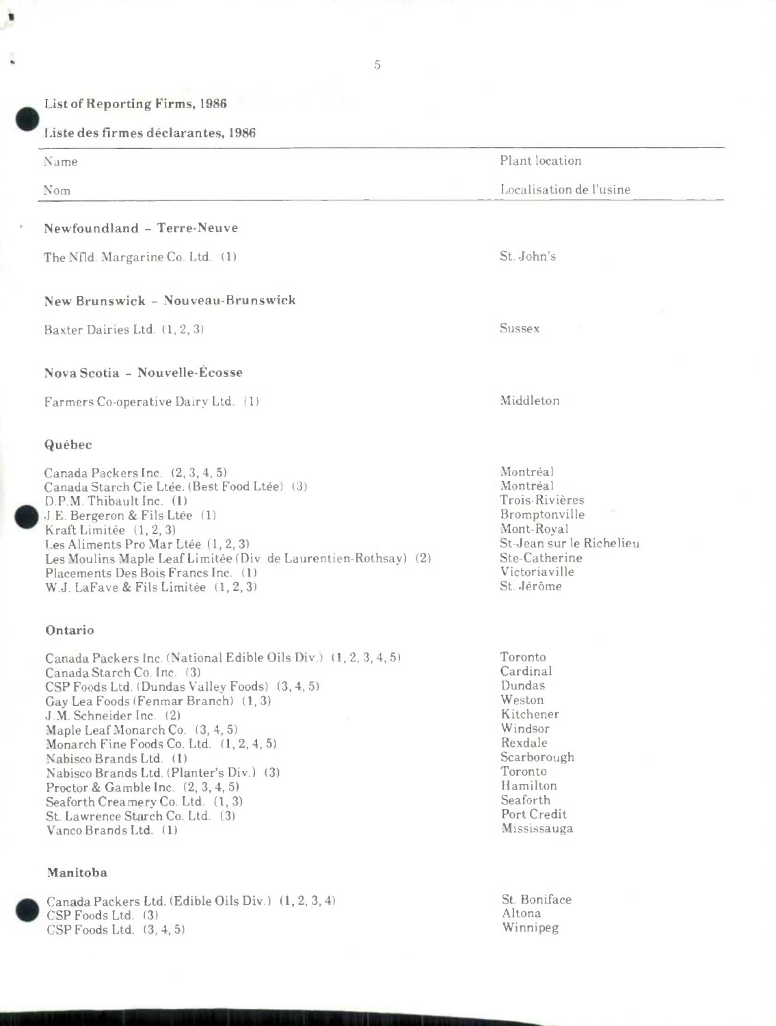Liste des firmes déclarantes, 1986

Name

Nom

4.

# Newfoundland - Terre-Neuve

The Nfld. Margarine Co. Ltd. (1) St. John's

### New Brunswick - Nouveau-Brunswick

Baxter Dairies Ltd. (1, 2, 3) Sussex

### Nova Scotia - Nouvelle-Ecosse

Farmers Co-operative Dairy Ltd. (1) Middleton

#### **Québec**

Canada Packers Inc. (2, 3, 4, 5)<br>Canada Starch Cie Ltée. (Best Food Ltée) (3) Montréal Montréal Canada Starch Cie Ltée. (Best Food Ltée) (3) Montréal Montréal (1998) Montréal (1998) Montréal (1998) Montréal<br>D.P. M. Thibault Inc. (1) D.P.M. Thibault Inc. (1) Trois-Rivières<br>J.E. Bergeron & Fils Ltée (1) The Communication of the Bromptonville J.E. Bergeron & Fils Ltée (1) Show Bromptonville (1, 2, 3) Bromptonville (1, 2, 3) Bromptonville (1, 2, 3) Kraft Limitée (1, 2, 3)<br>Les Aliments Pro Mar Ltée (1, 2, 3) Mont-Royal St-Jean sur le Richelieu Les Aliments Pro Mar Ltée (1, 2, 3) St-Jean sur le St-Jean sur le .<br>Les Moulins Maple Leaf Limitée (Div. de Laurentien-Rothsay) (2) Ste-Catherine Les Moulins Maple Leaf Limitée (Div. de Laurentien-Rothsay) (2) Ste-Catherine Placements Des Bois Francs Inc. (1) Placements Des Bois Francs Inc. (1) Victoriavil<br>
W.I. La Fave & Fils Limitée (1 2 3) St. Jérôme W.J. LaFave & Fils Limitée (1, 2, 3)

#### Ontario

Canada Packers Inc. (National Edible Oils Div.) (1, 2, 3, 4, 5) Toronto<br>Canada Starch Co Inc. (3) Cardinal Canada Starch Co. Inc. (3) Cardina<br>CSP Foods Ltd. (Dundas Valley Foods) (3–4–5) Cardinal CSP Foods) CSP Foods Ltd. (Dundas Valley Foods) (3, 4, 5) Dundas<br>Cay Lea Foods (Fenmar Branch) (1, 3) Dundas Gay Lea Foods (Fenmar Branch) (1, 3) Weston Weston Weston Weston Weston Weston Weston Weston Weston Weston Weston Weston Weston Weston Weston Weston Weston Weston Weston Weston Weston Weston Weston Weston Weston Weston Wes J.M. Schneider Inc. (2) Kitchener (1998) (1999) (1999) (1999) (1999) (1999) (1999) (1999) (1999) (1999) (1999)<br>Manle Leaf Monarch Co. (3, 4, 5) Maple Leaf Monarch Co. (3, 4, 5) Windsor<br>Monarch Fine Foods Co. Ltd. (1, 2, 4, 5) Windsor Monarch Fine Foods Co. Ltd. (1, 2, 4, 5) Rexdale<br>
Nahisco Brands Ltd. (1) Scarborough Nabisco Brands Ltd. (1)<br>Nabisco Brands Ltd. (Planter's Div.). (3) Scarborough Scarborough (1) Nabisco Brands Ltd. (Planter's Div.) (3) Toronto<br>Proctor & Gamble Inc. (2, 3, 4, 5) Toronto Proctor & Gamble Inc. (2, 3, 4, 5) Hamilton Seaforth (Framery Co. Ltd. (1, 3) Seaforth Creamery Co. Ltd. (1, 3) Seaforth Seaforth Seaforth Seaforth Seaforth Seaforth Seaforth Seaforth Seaforth Seaforth Seaforth Seaforth Seaforth Seaforth Seaforth Seaforth Seaforth Seaforth Seaforth Seaforth Seaforth St. Lawrence Starch Co. Ltd. (3) Port Credit<br>Vanco Brands Ltd. (1) Mississauga Vanco Brands Ltd. (1)

### Manitoba

.



Plant location

Localisation de l'usine